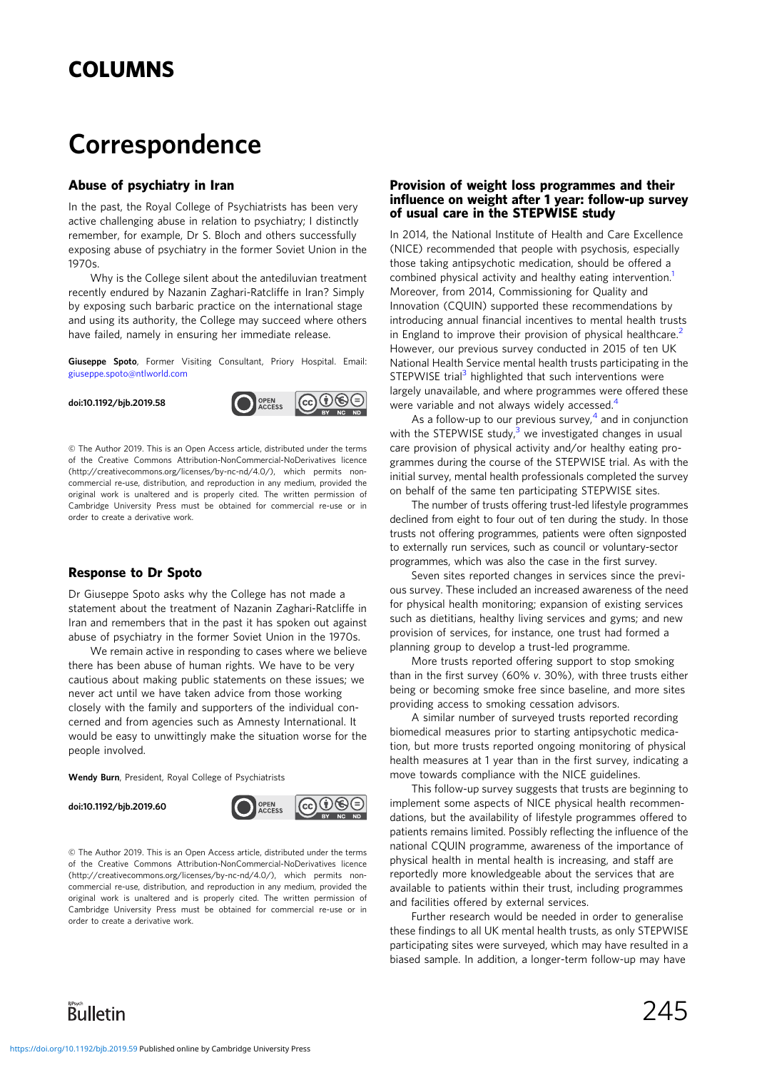## COLUMNS

# Correspondence

### Abuse of psychiatry in Iran

In the past, the Royal College of Psychiatrists has been very active challenging abuse in relation to psychiatry; I distinctly remember, for example, Dr S. Bloch and others successfully exposing abuse of psychiatry in the former Soviet Union in the 1970s.

Why is the College silent about the antediluvian treatment recently endured by Nazanin Zaghari-Ratcliffe in Iran? Simply by exposing such barbaric practice on the international stage and using its authority, the College may succeed where others have failed, namely in ensuring her immediate release.

Giuseppe Spoto, Former Visiting Consultant, Priory Hospital. Email: [giuseppe.spoto@ntlworld.com](mailto:giuseppe.spoto@ntlworld.com)

doi:10.1192/bjb.2019.58



© The Author 2019. This is an Open Access article, distributed under the terms of the Creative Commons Attribution-NonCommercial-NoDerivatives licence (http://creativecommons.org/licenses/by-nc-nd/4.0/), which permits noncommercial re-use, distribution, and reproduction in any medium, provided the original work is unaltered and is properly cited. The written permission of Cambridge University Press must be obtained for commercial re-use or in order to create a derivative work.

#### Response to Dr Spoto

Dr Giuseppe Spoto asks why the College has not made a statement about the treatment of Nazanin Zaghari-Ratcliffe in Iran and remembers that in the past it has spoken out against abuse of psychiatry in the former Soviet Union in the 1970s.

We remain active in responding to cases where we believe there has been abuse of human rights. We have to be very cautious about making public statements on these issues; we never act until we have taken advice from those working closely with the family and supporters of the individual concerned and from agencies such as Amnesty International. It would be easy to unwittingly make the situation worse for the people involved.

Wendy Burn, President, Royal College of Psychiatrists

doi:10.1192/bjb.2019.60



© The Author 2019. This is an Open Access article, distributed under the terms of the Creative Commons Attribution-NonCommercial-NoDerivatives licence (http://creativecommons.org/licenses/by-nc-nd/4.0/), which permits noncommercial re-use, distribution, and reproduction in any medium, provided the original work is unaltered and is properly cited. The written permission of Cambridge University Press must be obtained for commercial re-use or in order to create a derivative work.

#### Provision of weight loss programmes and their influence on weight after 1 year: follow-up survey of usual care in the STEPWISE study

In 2014, the National Institute of Health and Care Excellence (NICE) recommended that people with psychosis, especially those taking antipsychotic medication, should be offered a combined physical activity and healthy eating intervention.<sup>[1](#page-1-0)</sup> Moreover, from 2014, Commissioning for Quality and Innovation (CQUIN) supported these recommendations by introducing annual financial incentives to mental health trusts in England to improve their provision of physical healthcare.<sup>[2](#page-1-0)</sup> However, our previous survey conducted in 2015 of ten UK National Health Service mental health trusts participating in the STEPWISE trial<sup>[3](#page-1-0)</sup> highlighted that such interventions were largely unavailable, and where programmes were offered these were variable and not always widely accessed.<sup>[4](#page-1-0)</sup>

As a follow-up to our previous survey, $4$  and in conjunction with the STEPWISE study, $3$  we investigated changes in usual care provision of physical activity and/or healthy eating programmes during the course of the STEPWISE trial. As with the initial survey, mental health professionals completed the survey on behalf of the same ten participating STEPWISE sites.

The number of trusts offering trust-led lifestyle programmes declined from eight to four out of ten during the study. In those trusts not offering programmes, patients were often signposted to externally run services, such as council or voluntary-sector programmes, which was also the case in the first survey.

Seven sites reported changes in services since the previous survey. These included an increased awareness of the need for physical health monitoring; expansion of existing services such as dietitians, healthy living services and gyms; and new provision of services, for instance, one trust had formed a planning group to develop a trust-led programme.

More trusts reported offering support to stop smoking than in the first survey (60% v. 30%), with three trusts either being or becoming smoke free since baseline, and more sites providing access to smoking cessation advisors.

A similar number of surveyed trusts reported recording biomedical measures prior to starting antipsychotic medication, but more trusts reported ongoing monitoring of physical health measures at 1 year than in the first survey, indicating a move towards compliance with the NICE guidelines.

This follow-up survey suggests that trusts are beginning to implement some aspects of NICE physical health recommendations, but the availability of lifestyle programmes offered to patients remains limited. Possibly reflecting the influence of the national CQUIN programme, awareness of the importance of physical health in mental health is increasing, and staff are reportedly more knowledgeable about the services that are available to patients within their trust, including programmes and facilities offered by external services.

Further research would be needed in order to generalise these findings to all UK mental health trusts, as only STEPWISE participating sites were surveyed, which may have resulted in a biased sample. In addition, a longer-term follow-up may have

**Bulletin**